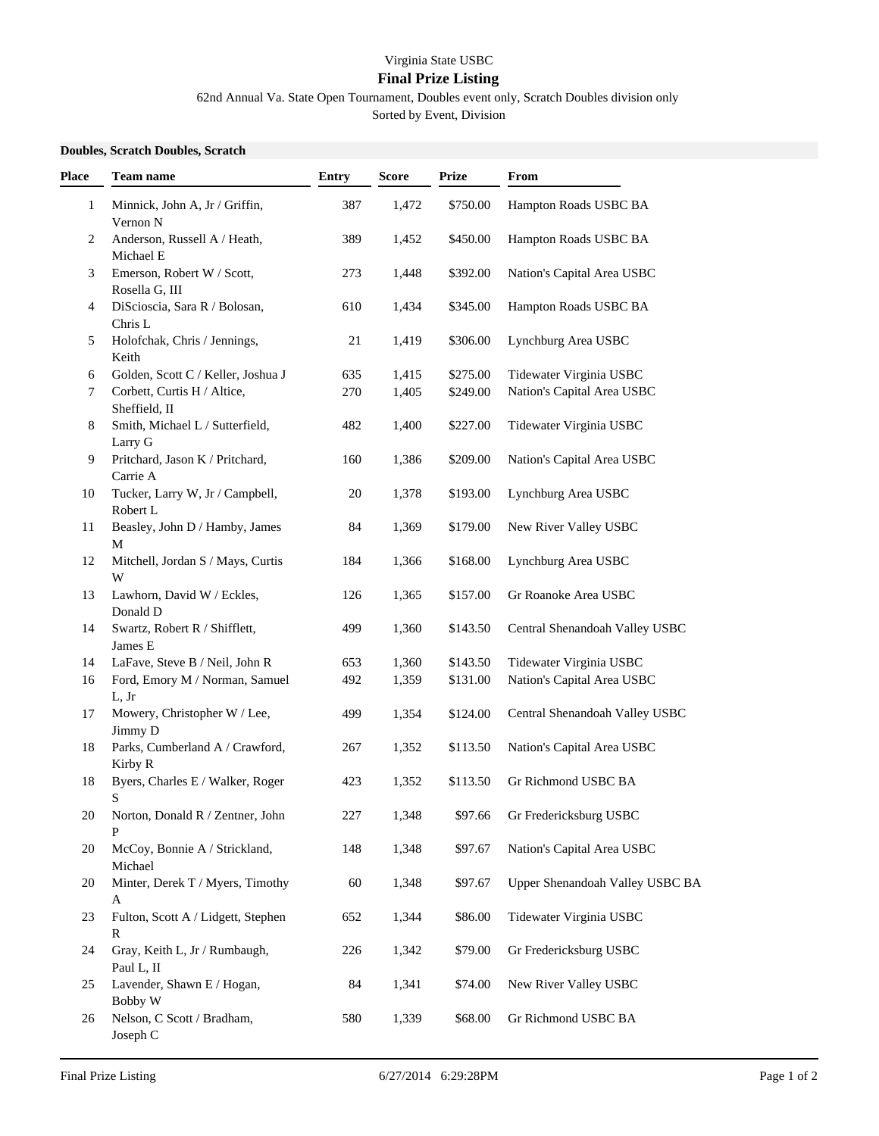## Virginia State USBC

## **Final Prize Listing**

62nd Annual Va. State Open Tournament, Doubles event only, Scratch Doubles division only

Sorted by Event, Division

## **Doubles, Scratch Doubles, Scratch**

| Place | <b>Team name</b>                             | <b>Entry</b> | <b>Score</b> | <b>Prize</b> | From                            |
|-------|----------------------------------------------|--------------|--------------|--------------|---------------------------------|
| 1     | Minnick, John A, Jr / Griffin,<br>Vernon N   | 387          | 1,472        | \$750.00     | Hampton Roads USBC BA           |
| 2     | Anderson, Russell A / Heath,<br>Michael E    | 389          | 1,452        | \$450.00     | Hampton Roads USBC BA           |
| 3     | Emerson, Robert W / Scott,<br>Rosella G, III | 273          | 1,448        | \$392.00     | Nation's Capital Area USBC      |
| 4     | DiScioscia, Sara R / Bolosan,<br>Chris L     | 610          | 1,434        | \$345.00     | Hampton Roads USBC BA           |
| 5     | Holofchak, Chris / Jennings,<br>Keith        | 21           | 1,419        | \$306.00     | Lynchburg Area USBC             |
| 6     | Golden, Scott C / Keller, Joshua J           | 635          | 1,415        | \$275.00     | Tidewater Virginia USBC         |
| 7     | Corbett, Curtis H / Altice,<br>Sheffield, II | 270          | 1,405        | \$249.00     | Nation's Capital Area USBC      |
| 8     | Smith, Michael L / Sutterfield,<br>Larry G   | 482          | 1,400        | \$227.00     | Tidewater Virginia USBC         |
| 9     | Pritchard, Jason K / Pritchard,<br>Carrie A  | 160          | 1,386        | \$209.00     | Nation's Capital Area USBC      |
| 10    | Tucker, Larry W, Jr / Campbell,<br>Robert L  | 20           | 1,378        | \$193.00     | Lynchburg Area USBC             |
| 11    | Beasley, John D / Hamby, James<br>М          | 84           | 1,369        | \$179.00     | New River Valley USBC           |
| 12    | Mitchell, Jordan S / Mays, Curtis<br>W       | 184          | 1,366        | \$168.00     | Lynchburg Area USBC             |
| 13    | Lawhorn, David W / Eckles,<br>Donald D       | 126          | 1,365        | \$157.00     | Gr Roanoke Area USBC            |
| 14    | Swartz, Robert R / Shifflett,<br>James E     | 499          | 1,360        | \$143.50     | Central Shenandoah Valley USBC  |
| 14    | LaFave, Steve B / Neil, John R               | 653          | 1,360        | \$143.50     | Tidewater Virginia USBC         |
| 16    | Ford, Emory M / Norman, Samuel<br>L, Jr      | 492          | 1,359        | \$131.00     | Nation's Capital Area USBC      |
| 17    | Mowery, Christopher W / Lee,<br>Jimmy D      | 499          | 1,354        | \$124.00     | Central Shenandoah Valley USBC  |
| 18    | Parks, Cumberland A / Crawford,<br>Kirby R   | 267          | 1,352        | \$113.50     | Nation's Capital Area USBC      |
| 18    | Byers, Charles E / Walker, Roger<br>S        | 423          | 1,352        | \$113.50     | Gr Richmond USBC BA             |
| 20    | Norton, Donald R / Zentner, John<br>P        | 227          | 1,348        | \$97.66      | Gr Fredericksburg USBC          |
| 20    | McCoy, Bonnie A / Strickland,<br>Michael     | 148          | 1,348        | \$97.67      | Nation's Capital Area USBC      |
| 20    | Minter, Derek T / Myers, Timothy<br>A        | 60           | 1,348        | \$97.67      | Upper Shenandoah Valley USBC BA |
| 23    | Fulton, Scott A / Lidgett, Stephen<br>R      | 652          | 1,344        | \$86.00      | Tidewater Virginia USBC         |
| 24    | Gray, Keith L, Jr / Rumbaugh,<br>Paul L, II  | 226          | 1,342        | \$79.00      | Gr Fredericksburg USBC          |
| 25    | Lavender, Shawn E / Hogan,<br>Bobby W        | 84           | 1,341        | \$74.00      | New River Valley USBC           |
| 26    | Nelson, C Scott / Bradham,<br>Joseph C       | 580          | 1,339        | \$68.00      | Gr Richmond USBC BA             |